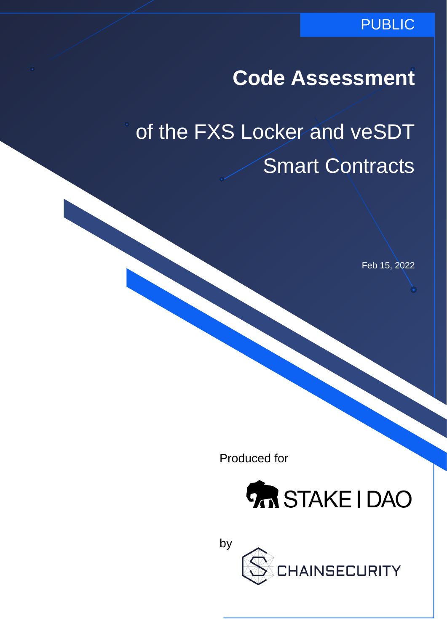### PUBLIC

**Code Assessment**

of the FXS Locker and veSDT Smart Contracts

Feb 15, 2022

Produced for



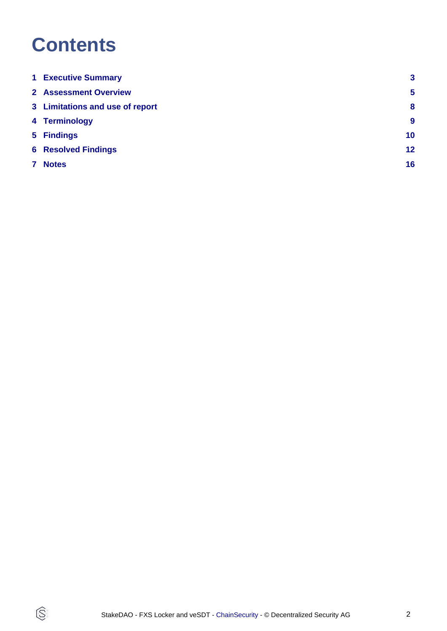# **Contents**

 $\circledS$ 

|   | <b>1 Executive Summary</b>      | $\mathbf{3}$     |
|---|---------------------------------|------------------|
|   | <b>2</b> Assessment Overview    | $5\phantom{1}$   |
|   | 3 Limitations and use of report | 8                |
|   | 4 Terminology                   | $\boldsymbol{9}$ |
|   | 5 Findings                      | 10 <sub>1</sub>  |
|   | <b>6 Resolved Findings</b>      | 12 <sub>2</sub>  |
| 7 | <b>Notes</b>                    | 16               |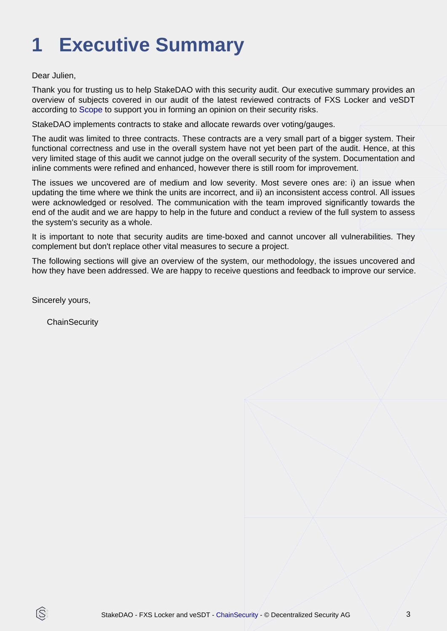# <span id="page-2-0"></span>**1 Executive Summary**

Dear Julien,

Thank you for trusting us to help StakeDAO with this security audit. Our executive summary provides an overview of subjects covered in our audit of the latest reviewed contracts of FXS Locker and veSDT according to [Scope](#page-4-1) to support you in forming an opinion on their security risks.

StakeDAO implements contracts to stake and allocate rewards over voting/gauges.

The audit was limited to three contracts. These contracts are a very small part of a bigger system. Their functional correctness and use in the overall system have not yet been part of the audit. Hence, at this very limited stage of this audit we cannot judge on the overall security of the system. Documentation and inline comments were refined and enhanced, however there is still room for improvement.

The issues we uncovered are of medium and low severity. Most severe ones are: i) an issue when updating the time where we think the units are incorrect, and ii) an inconsistent access control. All issues were acknowledged or resolved. The communication with the team improved significantly towards the end of the audit and we are happy to help in the future and conduct a review of the full system to assess the system's security as a whole.

It is important to note that security audits are time-boxed and cannot uncover all vulnerabilities. They complement but don't replace other vital measures to secure a project.

The following sections will give an overview of the system, our methodology, the issues uncovered and how they have been addressed. We are happy to receive questions and feedback to improve our service.

Sincerely yours,

ß

**ChainSecurity**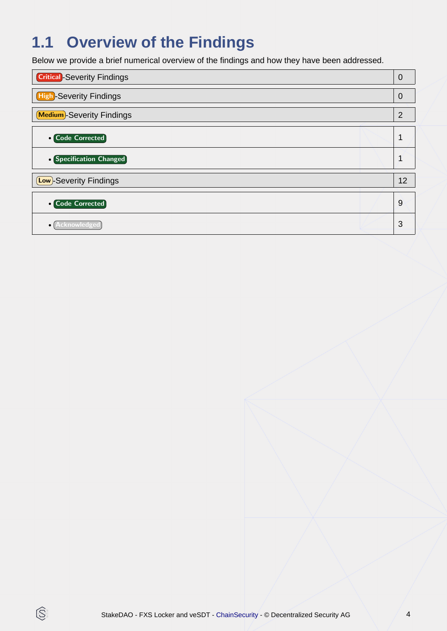## **1.1 Overview of the Findings**

Below we provide a brief numerical overview of the findings and how they have been addressed.

| <b>Critical</b> -Severity Findings |    |
|------------------------------------|----|
| <b>High-Severity Findings</b>      | 0  |
| <b>Medium</b> -Severity Findings   | 2  |
| • Code Corrected                   |    |
| • Specification Changed            |    |
| <b>Low</b> )-Severity Findings     | 12 |
| <b>• Code Corrected</b>            | 9  |
|                                    | 3  |

 $\circledS$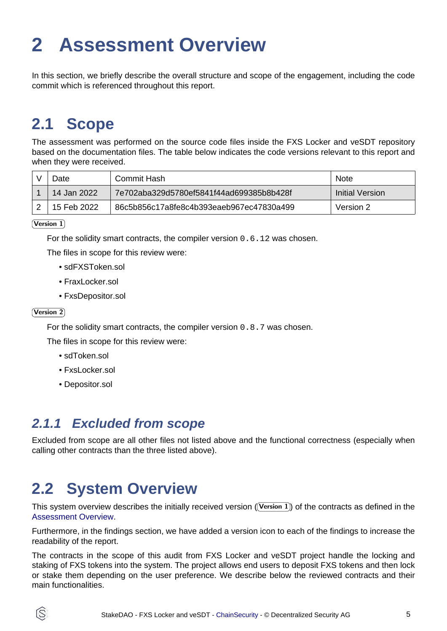# <span id="page-4-2"></span><span id="page-4-0"></span>**2 Assessment Overview**

In this section, we briefly describe the overall structure and scope of the engagement, including the code commit which is referenced throughout this report.

## <span id="page-4-1"></span>**2.1 Scope**

The assessment was performed on the source code files inside the FXS Locker and veSDT repository based on the documentation files. The table below indicates the code versions relevant to this report and when they were received.

| Jate        | Commit Hash                               | <b>Note</b>     |
|-------------|-------------------------------------------|-----------------|
| 14 Jan 2022 | .7e702aba329d5780ef5841f44ad699385b8b428f | Initial Version |
| 15 Feb 2022 | 86c5b856c17a8fe8c4b393eaeb967ec47830a499  | Version 2       |

 $(Version 1)$ 

For the solidity smart contracts, the compiler version 0.6.12 was chosen.

The files in scope for this review were:

- sdFXSToken.sol
- FraxLocker.sol
- FxsDepositor.sol

#### Version 2

For the solidity smart contracts, the compiler version 0.8.7 was chosen.

The files in scope for this review were:

- sdToken.sol
- FxsLocker.sol
- Depositor.sol

### **2.1.1 Excluded from scope**

Excluded from scope are all other files not listed above and the functional correctness (especially when calling other contracts than the three listed above).

## **2.2 System Overview**

This system overview describes the initially received version ((Version 1)) of the contracts as defined in the [Assessment Overview](#page-4-2).

Furthermore, in the findings section, we have added a version icon to each of the findings to increase the readability of the report.

The contracts in the scope of this audit from FXS Locker and veSDT project handle the locking and staking of FXS tokens into the system. The project allows end users to deposit FXS tokens and then lock or stake them depending on the user preference. We describe below the reviewed contracts and their main functionalities.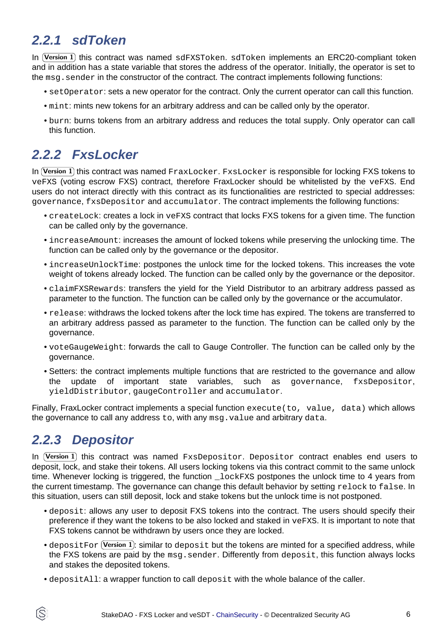### **2.2.1 sdToken**

In (Version 1) this contract was named sdFXSToken. sdToken implements an ERC20-compliant token and in addition has a state variable that stores the address of the operator. Initially, the operator is set to the msg. sender in the constructor of the contract. The contract implements following functions:

- setOperator: sets a new operator for the contract. Only the current operator can call this function.
- mint: mints new tokens for an arbitrary address and can be called only by the operator.
- burn: burns tokens from an arbitrary address and reduces the total supply. Only operator can call this function.

### **2.2.2 FxsLocker**

In  $(\mathtt{Version~1})$  this contract was named  $_{\texttt{FraxLocker.~FxsLocker}}$  is responsible for locking FXS tokens to veFXS (voting escrow FXS) contract, therefore FraxLocker should be whitelisted by the veFXS. End users do not interact directly with this contract as its functionalities are restricted to special addresses: governance, fxsDepositor and accumulator. The contract implements the following functions:

- createLock: creates a lock in veFXS contract that locks FXS tokens for a given time. The function can be called only by the governance.
- increaseAmount: increases the amount of locked tokens while preserving the unlocking time. The function can be called only by the governance or the depositor.
- increaseUnlockTime: postpones the unlock time for the locked tokens. This increases the vote weight of tokens already locked. The function can be called only by the governance or the depositor.
- claimFXSRewards: transfers the yield for the Yield Distributor to an arbitrary address passed as parameter to the function. The function can be called only by the governance or the accumulator.
- release: withdraws the locked tokens after the lock time has expired. The tokens are transferred to an arbitrary address passed as parameter to the function. The function can be called only by the governance.
- voteGaugeWeight: forwards the call to Gauge Controller. The function can be called only by the governance.
- Setters: the contract implements multiple functions that are restricted to the governance and allow the update of important state variables, such as governance, fxsDepositor, yieldDistributor, gaugeController and accumulator.

Finally, FraxLocker contract implements a special function execute (to, value, data) which allows the governance to call any address to, with any msg.value and arbitrary data.

### **2.2.3 Depositor**

In  $(\mathtt{Version~1})$  this contract was named  $\mathtt{Fx}s\mathtt{Depositor}$ . Depositor contract enables end users to deposit, lock, and stake their tokens. All users locking tokens via this contract commit to the same unlock time. Whenever locking is triggered, the function **LockFXS** postpones the unlock time to 4 years from the current timestamp. The governance can change this default behavior by setting relock to false. In this situation, users can still deposit, lock and stake tokens but the unlock time is not postponed.

- deposit: allows any user to deposit FXS tokens into the contract. The users should specify their preference if they want the tokens to be also locked and staked in veFXS. It is important to note that FXS tokens cannot be withdrawn by users once they are locked.
- $\bullet$  <code>depositFor</code> (Version 1): similar to <code>deposit</code> but the tokens are minted for a specified address, while the FXS tokens are paid by the msg.sender. Differently from deposit, this function always locks and stakes the deposited tokens.
- depositAll: a wrapper function to call deposit with the whole balance of the caller.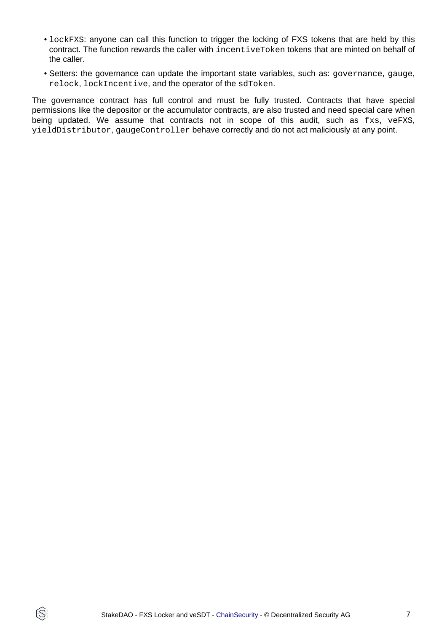- lockFXS: anyone can call this function to trigger the locking of FXS tokens that are held by this contract. The function rewards the caller with incentiveToken tokens that are minted on behalf of the caller.
- Setters: the governance can update the important state variables, such as: governance, gauge, relock, lockIncentive, and the operator of the sdToken.

The governance contract has full control and must be fully trusted. Contracts that have special permissions like the depositor or the accumulator contracts, are also trusted and need special care when being updated. We assume that contracts not in scope of this audit, such as fxs, veFXS, yieldDistributor, gaugeController behave correctly and do not act maliciously at any point.

IS.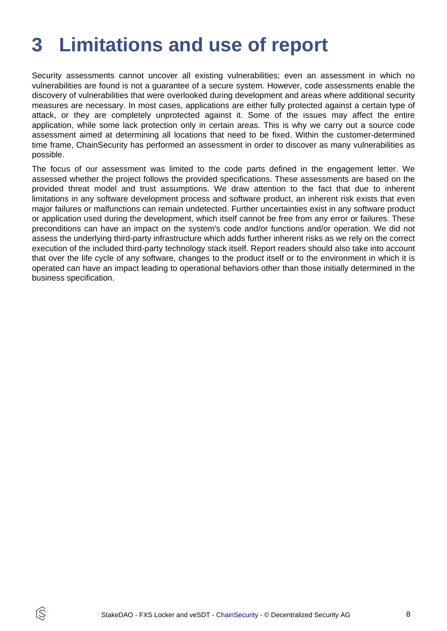# <span id="page-7-0"></span>**3 Limitations and use of report**

Security assessments cannot uncover all existing vulnerabilities; even an assessment in which no vulnerabilities are found is not a guarantee of a secure system. However, code assessments enable the discovery of vulnerabilities that were overlooked during development and areas where additional security measures are necessary. In most cases, applications are either fully protected against a certain type of attack, or they are completely unprotected against it. Some of the issues may affect the entire application, while some lack protection only in certain areas. This is why we carry out a source code assessment aimed at determining all locations that need to be fixed. Within the customer-determined time frame, ChainSecurity has performed an assessment in order to discover as many vulnerabilities as possible.

The focus of our assessment was limited to the code parts defined in the engagement letter. We assessed whether the project follows the provided specifications. These assessments are based on the provided threat model and trust assumptions. We draw attention to the fact that due to inherent limitations in any software development process and software product, an inherent risk exists that even major failures or malfunctions can remain undetected. Further uncertainties exist in any software product or application used during the development, which itself cannot be free from any error or failures. These preconditions can have an impact on the system's code and/or functions and/or operation. We did not assess the underlying third-party infrastructure which adds further inherent risks as we rely on the correct execution of the included third-party technology stack itself. Report readers should also take into account that over the life cycle of any software, changes to the product itself or to the environment in which it is operated can have an impact leading to operational behaviors other than those initially determined in the business specification.

ÍŠ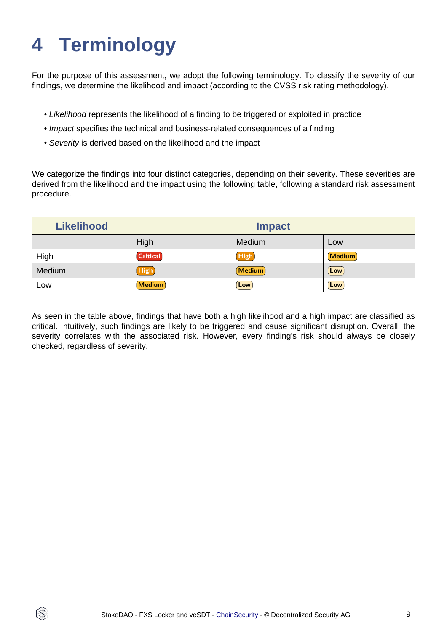# <span id="page-8-0"></span>**4 Terminology**

ÍŜ

For the purpose of this assessment, we adopt the following terminology. To classify the severity of our findings, we determine the likelihood and impact (according to the CVSS risk rating methodology).

- Likelihood represents the likelihood of a finding to be triggered or exploited in practice
- Impact specifies the technical and business-related consequences of a finding
- Severity is derived based on the likelihood and the impact

We categorize the findings into four distinct categories, depending on their severity. These severities are derived from the likelihood and the impact using the following table, following a standard risk assessment procedure.

| <b>Likelihood</b> | <b>Impact</b>   |               |               |
|-------------------|-----------------|---------------|---------------|
|                   | High            | Medium        | Low           |
| High              | <b>Critical</b> | <b>High</b>   | <b>Medium</b> |
| Medium            | High            | <b>Medium</b> | Low           |
| Low               | <b>Medium</b>   | Low           | Low           |

As seen in the table above, findings that have both a high likelihood and a high impact are classified as critical. Intuitively, such findings are likely to be triggered and cause significant disruption. Overall, the severity correlates with the associated risk. However, every finding's risk should always be closely checked, regardless of severity.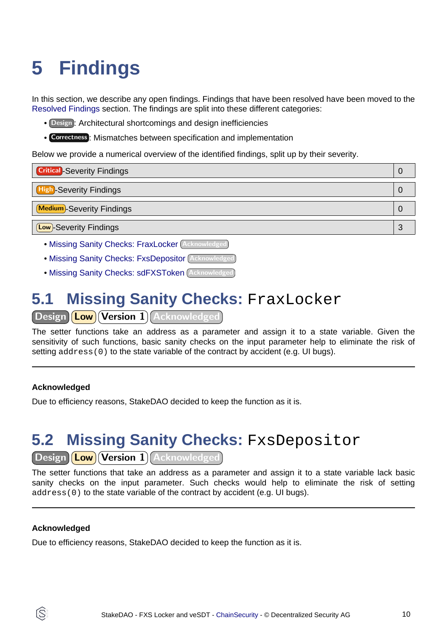# <span id="page-9-3"></span><span id="page-9-0"></span>**5 Findings**

In this section, we describe any open findings. Findings that have been resolved have been moved to the [Resolved Findings](#page-11-1) section. The findings are split into these different categories:

- Design : Architectural shortcomings and design inefficiencies
- Correctness : Mismatches between specification and implementation

Below we provide a numerical overview of the identified findings, split up by their severity.

| <b>Critical</b> -Severity Findings                | 0 |
|---------------------------------------------------|---|
| <b>High-Severity Findings</b>                     | O |
| <b>Medium</b> -Severity Findings                  | O |
| <b>Low</b> -Severity Findings                     | 3 |
| • Mineing Capity Cheekey FroyLogker (Acknowledged |   |

- [Missing Sanity Checks: FraxLocker](#page-9-1) (Acknowledged
- [Missing Sanity Checks: FxsDepositor](#page-9-2) Acknowledged
- [Missing Sanity Checks: sdFXSToken](#page-10-0) Acknowledged

## <span id="page-9-1"></span>**5.1 Missing Sanity Checks: FraxLocker**

Design **Low Version 1** Acknowledged

The setter functions take an address as a parameter and assign it to a state variable. Given the sensitivity of such functions, basic sanity checks on the input parameter help to eliminate the risk of setting  $address(0)$  to the state variable of the contract by accident (e.g. UI bugs).

#### **Acknowledged**

Due to efficiency reasons, StakeDAO decided to keep the function as it is.

## <span id="page-9-2"></span>**5.2 Missing Sanity Checks:** FxsDepositor

Design (Low) Version 1) Acknowledged

The setter functions that take an address as a parameter and assign it to a state variable lack basic sanity checks on the input parameter. Such checks would help to eliminate the risk of setting address(0) to the state variable of the contract by accident (e.g. UI bugs).

#### **Acknowledged**

ĺS

Due to efficiency reasons, StakeDAO decided to keep the function as it is.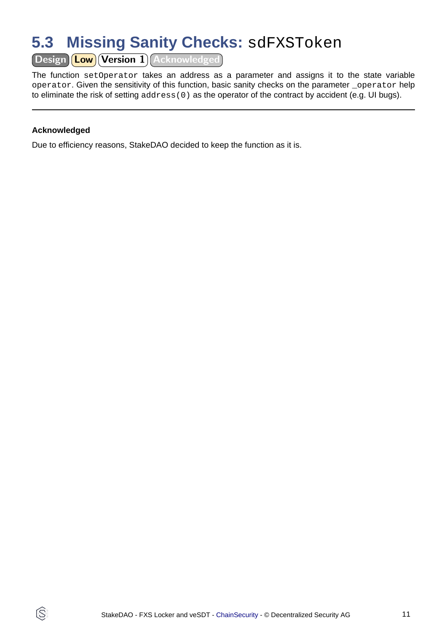## <span id="page-10-0"></span>**5.3 Missing Sanity Checks:** sdFXSToken

Design (Low) Version 1 Acknowledged

The function setOperator takes an address as a parameter and assigns it to the state variable operator. Given the sensitivity of this function, basic sanity checks on the parameter \_operator help to eliminate the risk of setting address(0) as the operator of the contract by accident (e.g. UI bugs).

#### **Acknowledged**

IS.

Due to efficiency reasons, StakeDAO decided to keep the function as it is.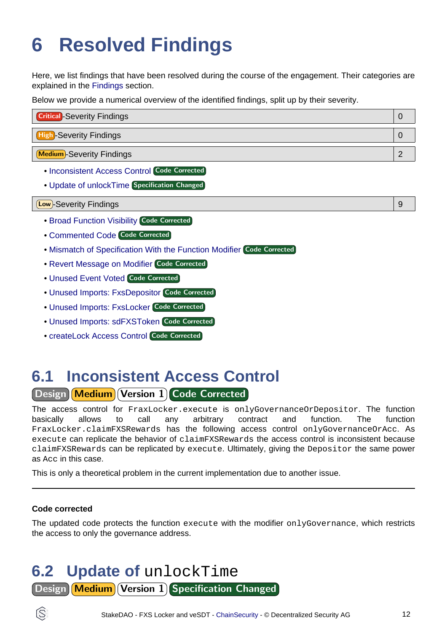# <span id="page-11-1"></span><span id="page-11-0"></span>**6 Resolved Findings**

Here, we list findings that have been resolved during the course of the engagement. Their categories are explained in the [Findings](#page-9-3) section.

Below we provide a numerical overview of the identified findings, split up by their severity.

| <b>Critical</b> -Severity Findings |  |
|------------------------------------|--|
| <b>High-Severity Findings</b>      |  |
| <b>Medium</b> -Severity Findings   |  |

- [Inconsistent Access Control](#page-11-2) Code Corrected
- [Update of unlockTime](#page-11-3) Specification Changed

#### Low -Severity Findings 9

- [Broad Function Visibility](#page-12-0) Code Corrected
- [Commented Code](#page-12-1) Code Corrected
- [Mismatch of Specification With the Function Modifier](#page-12-2) Code Corrected
- [Revert Message on Modifier](#page-13-0) Code Corrected
- [Unused Event Voted](#page-13-1) Code Corrected
- [Unused Imports: FxsDepositor](#page-13-2) Code Corrected
- [Unused Imports: FxsLocker](#page-14-0) Code Corrected
- [Unused Imports: sdFXSToken](#page-14-1) Code Corrected
- [createLock Access Control](#page-14-2) Code Corrected

## <span id="page-11-2"></span>**6.1 Inconsistent Access Control**

Design Medium Version 1 Code Corrected

The access control for FraxLocker.execute is onlyGovernanceOrDepositor. The function basically allows to call any arbitrary contract and function. The function FraxLocker.claimFXSRewards has the following access control onlyGovernanceOrAcc. As execute can replicate the behavior of claimFXSRewards the access control is inconsistent because claimFXSRewards can be replicated by execute. Ultimately, giving the Depositor the same power as Acc in this case.

This is only a theoretical problem in the current implementation due to another issue.

### **Code corrected**

The updated code protects the function execute with the modifier onlyGovernance, which restricts the access to only the governance address.

### <span id="page-11-3"></span>**6.2 Update of** unlockTime Design Medium Version 1 Specification Changed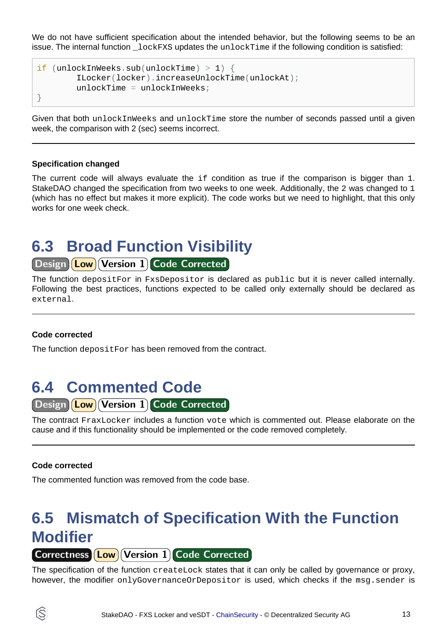We do not have sufficient specification about the intended behavior, but the following seems to be an issue. The internal function  $\log_{k}$  lockFXS updates the unlockTime if the following condition is satisfied:

```
if (unlockInWeeks.sub(unlockTime) > 1) {
         ILocker(locker).increaseUnlockTime(unlockAt);
        unlockTime = unlockInverse;
}
```
Given that both unlockInWeeks and unlockTime store the number of seconds passed until a given week, the comparison with 2 (sec) seems incorrect.

#### **Specification changed**

The current code will always evaluate the  $if$  condition as true if the comparison is bigger than 1. StakeDAO changed the specification from two weeks to one week. Additionally, the 2 was changed to 1 (which has no effect but makes it more explicit). The code works but we need to highlight, that this only works for one week check.

### <span id="page-12-0"></span>**6.3 Broad Function Visibility**

Design **Low** Version 1 Code Corrected

The function depositFor in FxsDepositor is declared as public but it is never called internally. Following the best practices, functions expected to be called only externally should be declared as external.

#### **Code corrected**

The function depositFor has been removed from the contract.

### <span id="page-12-1"></span>**6.4 Commented Code**

Design **Low** Version 1 Code Corrected

The contract FraxLocker includes a function vote which is commented out. Please elaborate on the cause and if this functionality should be implemented or the code removed completely.

#### **Code corrected**

The commented function was removed from the code base.

## <span id="page-12-2"></span>**6.5 Mismatch of Specification With the Function Modifier**

Correctness **Low Version 1 Code Corrected** 

The specification of the function createLock states that it can only be called by governance or proxy, however, the modifier onlyGovernanceOrDepositor is used, which checks if the msq.sender is

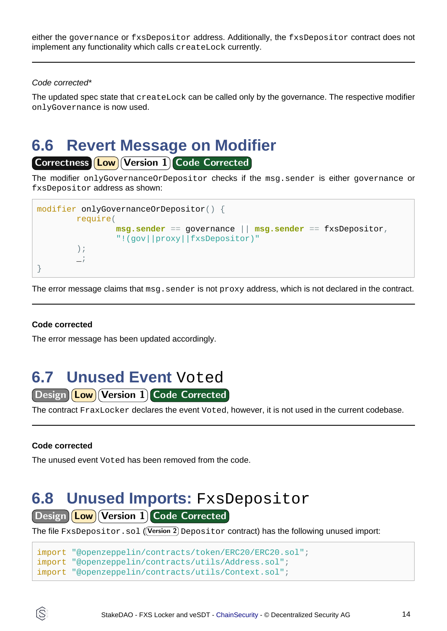either the governance or fxsDepositor address. Additionally, the fxsDepositor contract does not implement any functionality which calls createLock currently.

#### Code corrected\*

The updated spec state that createLock can be called only by the governance. The respective modifier onlyGovernance is now used.

### <span id="page-13-0"></span>**6.6 Revert Message on Modifier**

Correctness **Low** Version 1 Code Corrected

The modifier onlyGovernanceOrDepositor checks if the msg.sender is either governance or fxsDepositor address as shown:



The error message claims that  $msg$ . sender is not  $prexy$  address, which is not declared in the contract.

### **Code corrected**

The error message has been updated accordingly.

### <span id="page-13-1"></span>**6.7 Unused Event** Voted

Design (Low Version 1) Code Corrected

The contract FraxLocker declares the event Voted, however, it is not used in the current codebase.

#### **Code corrected**

ĺS

The unused event Voted has been removed from the code.

### <span id="page-13-2"></span>**6.8 Unused Imports:** FxsDepositor

Design **Low** Version 1 Code Corrected

The file  $\texttt{FxsDepositor}$  .  $\texttt{sol}$   $(\textsf{Version 2})$   $\texttt{Depositor}$  contract) has the following unused import:

```
import "@openzeppelin/contracts/token/ERC20/ERC20.sol";
import "@openzeppelin/contracts/utils/Address.sol";
import "@openzeppelin/contracts/utils/Context.sol";
```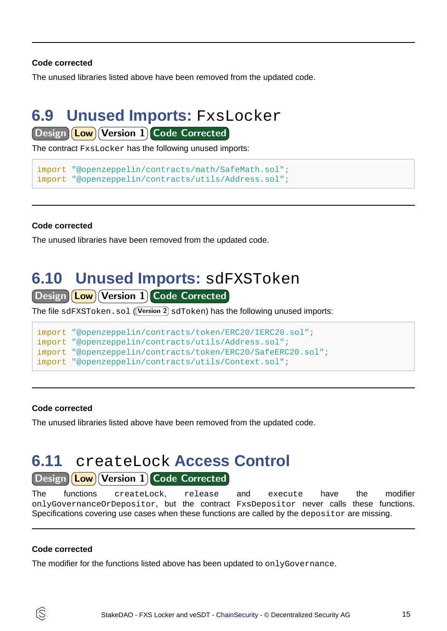#### **Code corrected**

The unused libraries listed above have been removed from the updated code.

### <span id="page-14-0"></span>**6.9 Unused Imports:** FxsLocker

Design **Low** Version 1 Code Corrected

The contract FxsLocker has the following unused imports:

```
import "@openzeppelin/contracts/math/SafeMath.sol";
import "@openzeppelin/contracts/utils/Address.sol";
```
#### **Code corrected**

The unused libraries have been removed from the updated code.

### <span id="page-14-1"></span>**6.10 Unused Imports:** sdFXSToken

Design Low Version 1 Code Corrected

The file  $\operatorname{sdFXSToken}$  .  $\operatorname{sol}$   $(\!$  Version 2 $)\operatorname{sdToken}$  has the following unused imports:

```
import "@openzeppelin/contracts/token/ERC20/IERC20.sol";
import "@openzeppelin/contracts/utils/Address.sol";
import "@openzeppelin/contracts/token/ERC20/SafeERC20.sol";
import "@openzeppelin/contracts/utils/Context.sol";
```
#### **Code corrected**

The unused libraries listed above have been removed from the updated code.

## <span id="page-14-2"></span>**6.11** createLock **Access Control**

Design Low Version 1 Code Corrected

The functions createLock, release and execute have the modifier onlyGovernanceOrDepositor, but the contract FxsDepositor never calls these functions. Specifications covering use cases when these functions are called by the depositor are missing.

#### **Code corrected**

ÍŜ

The modifier for the functions listed above has been updated to  $\text{onlyGovernment}$